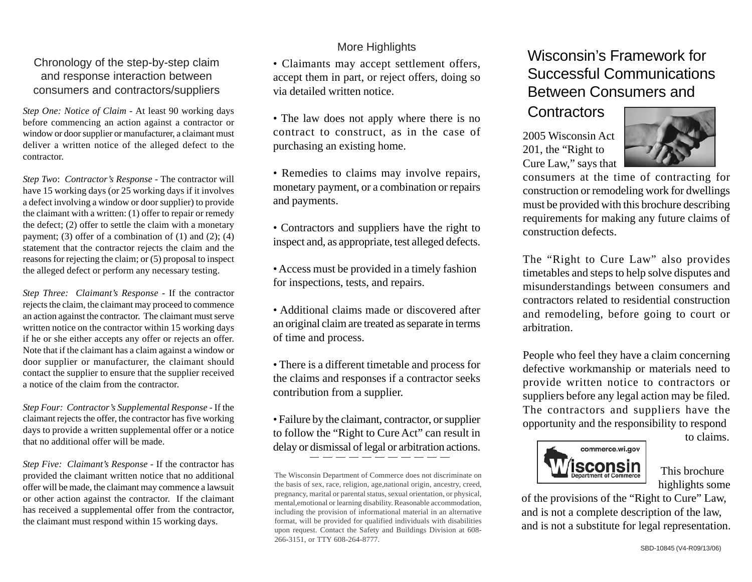## Chronology of the step-by-step claim and response interaction between consumers and contractors/suppliers

*Step One: Notice of Claim -* At least 90 working days before commencing an action against a contractor or window or door supplier or manufacturer, a claimant must deliver a written notice of the alleged defect to the contractor.

*Step Two*: *Contractor's Response -* The contractor will have 15 working days (or 25 working days if it involves a defect involving a window or door supplier) to provide the claimant with a written: (1) offer to repair or remedy the defect; (2) offer to settle the claim with a monetary payment; (3) offer of a combination of  $(1)$  and  $(2)$ ;  $(4)$ statement that the contractor rejects the claim and the reasons for rejecting the claim; or (5) proposal to inspect the alleged defect or perform any necessary testing.

*Step Three: Claimant's Response -* If the contractor rejects the claim, the claimant may proceed to commence an action against the contractor. The claimant must serve written notice on the contractor within 15 working days if he or she either accepts any offer or rejects an offer. Note that if the claimant has a claim against a window or door supplier or manufacturer, the claimant should contact the supplier to ensure that the supplier received a notice of the claim from the contractor.

*Step Four: Contractor's Supplemental Response -* If the claimant rejects the offer, the contractor has five working days to provide a written supplemental offer or a notice that no additional offer will be made.

*Step Five: Claimant's Response -* If the contractor has provided the claimant written notice that no additional offer will be made, the claimant may commence a lawsuit or other action against the contractor. If the claimant has received a supplemental offer from the contractor, the claimant must respond within 15 working days.

## More Highlights

• Claimants may accept settlement offers, accept them in part, or reject offers, doing so via detailed written notice.

• The law does not apply where there is no contract to construct, as in the case of purchasing an existing home.

- Remedies to claims may involve repairs, monetary payment, or a combination or repairs and payments.
- Contractors and suppliers have the right to inspect and, as appropriate, test alleged defects.
- Access must be provided in a timely fashion for inspections, tests, and repairs.
- Additional claims made or discovered after an original claim are treated as separate in terms of time and process.
- There is a different timetable and process for the claims and responses if a contractor seeks contribution from a supplier.
- Failure by the claimant, contractor, or supplier to follow the "Right to Cure Act" can result in delay or dismissal of legal or arbitration actions.

## Wisconsin's Framework for Successful Communications Between Consumers and

## **Contractors**

2005 Wisconsin Act 201, the "Right to Cure Law," says that



consumers at the time of contracting for construction or remodeling work for dwellings must be provided with this brochure describing requirements for making any future claims of construction defects.

The "Right to Cure Law" also provides timetables and steps to help solve disputes and misunderstandings between consumers and contractors related to residential construction and remodeling, before going to court or arbitration.

People who feel they have a claim concerning defective workmanship or materials need to provide written notice to contractors or suppliers before any legal action may be filed. The contractors and suppliers have the opportunity and the responsibility to respond

to claims.



 This brochure highlights some

of the provisions of the "Right to Cure" Law, and is not a complete description of the law, and is not a substitute for legal representation.

The Wisconsin Department of Commerce does not discriminate on the basis of sex, race, religion, age,national origin, ancestry, creed, pregnancy, marital or parental status, sexual orientation, or physical, mental,emotional or learning disability. Reasonable accommodation, including the provision of informational material in an alternative format, will be provided for qualified individuals with disabilities upon request. Contact the Safety and Buildings Division at 608- 266-3151, or TTY 608-264-8777.